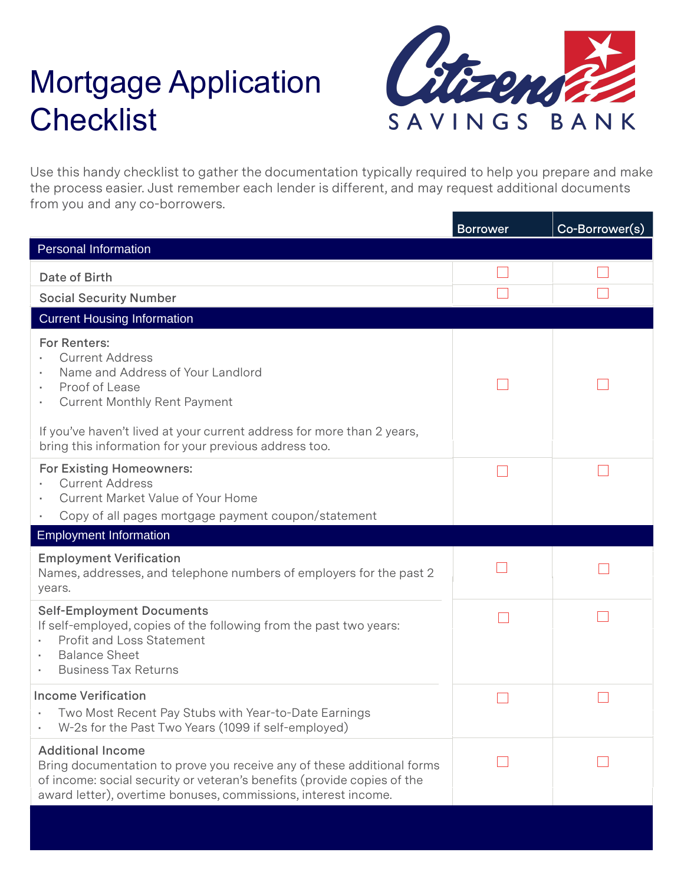## Mortgage Application **Checklist**



Use this handy checklist to gather the documentation typically required to help you prepare and make the process easier. Just remember each lender is different, and may request additional documents from you and any co-borrowers.

|                                                                                                                                                                                                                                                 | <b>Borrower</b> | Co-Borrower(s) |
|-------------------------------------------------------------------------------------------------------------------------------------------------------------------------------------------------------------------------------------------------|-----------------|----------------|
| <b>Personal Information</b>                                                                                                                                                                                                                     |                 |                |
| Date of Birth                                                                                                                                                                                                                                   |                 |                |
| <b>Social Security Number</b>                                                                                                                                                                                                                   |                 |                |
| <b>Current Housing Information</b>                                                                                                                                                                                                              |                 |                |
| <b>For Renters:</b><br><b>Current Address</b><br>Name and Address of Your Landlord<br>Proof of Lease<br>٠<br><b>Current Monthly Rent Payment</b>                                                                                                |                 |                |
| If you've haven't lived at your current address for more than 2 years,<br>bring this information for your previous address too.                                                                                                                 |                 |                |
| <b>For Existing Homeowners:</b><br><b>Current Address</b><br><b>Current Market Value of Your Home</b><br>Copy of all pages mortgage payment coupon/statement                                                                                    |                 |                |
| <b>Employment Information</b>                                                                                                                                                                                                                   |                 |                |
| <b>Employment Verification</b><br>Names, addresses, and telephone numbers of employers for the past 2<br>years.                                                                                                                                 |                 |                |
| <b>Self-Employment Documents</b><br>If self-employed, copies of the following from the past two years:<br><b>Profit and Loss Statement</b><br><b>Balance Sheet</b><br><b>Business Tax Returns</b>                                               |                 |                |
| <b>Income Verification</b><br>Two Most Recent Pay Stubs with Year-to-Date Earnings<br>W-2s for the Past Two Years (1099 if self-employed)                                                                                                       |                 |                |
| <b>Additional Income</b><br>Bring documentation to prove you receive any of these additional forms<br>of income: social security or veteran's benefits (provide copies of the<br>award letter), overtime bonuses, commissions, interest income. |                 |                |
|                                                                                                                                                                                                                                                 |                 |                |